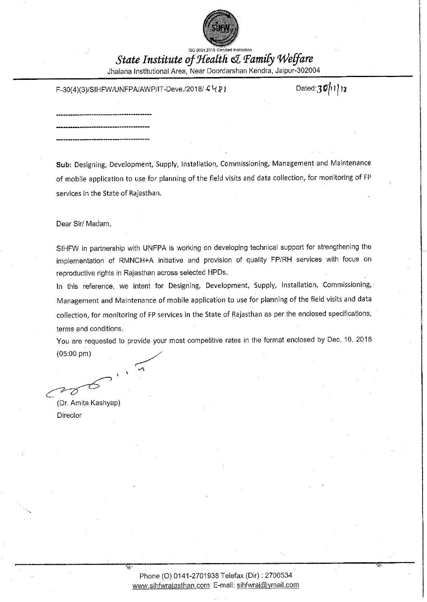

ISO 8001:2015 Certified Institution State Institute of Health & Family Welfare Jhalana Institutional Area, Near Doordarshan Kendra, Jaipur-302004

F-30(4)(3)/SIHFW/UNFPA/AWP/IT-Deve./2018/ 4 4 8 1

Dated: $30/11$ 13

Sub: Designing, Development, Supply, Installation, Commissioning, Management and Maintenance of mobile application to use for planning of the field visits and data collection, for monitoring of FP services in the State of Rajasthan.

Dear Sir/ Madam,

SIHFW in partnership with UNFPA is working on developing technical support for strengthening the implementation of RMNCH+A initiative and provision of quality FP/RH services with focus on reproductive rights in Rajasthan across selected HPDs.

In this reference, we intent for Designing, Development, Supply, Installation, Commissioning, Management and Maintenance of mobile application to use for planning of the field visits and data collection, for monitoring of FP services in the State of Rajasthan as per the enclosed specifications, terms and conditions.

You are requested to provide your most competitive rates in the format enclosed by Dec. 10, 2018  $(05:00 \text{ pm})$ 

(Dr. Amita Kashyap)

Director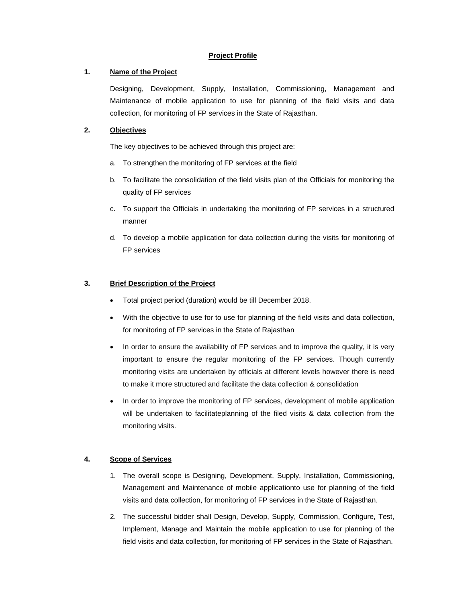## **Project Profile**

## **1. Name of the Project**

Designing, Development, Supply, Installation, Commissioning, Management and Maintenance of mobile application to use for planning of the field visits and data collection, for monitoring of FP services in the State of Rajasthan.

# **2. Objectives**

The key objectives to be achieved through this project are:

- a. To strengthen the monitoring of FP services at the field
- b. To facilitate the consolidation of the field visits plan of the Officials for monitoring the quality of FP services
- c. To support the Officials in undertaking the monitoring of FP services in a structured manner
- d. To develop a mobile application for data collection during the visits for monitoring of FP services

## **3. Brief Description of the Project**

- Total project period (duration) would be till December 2018.
- With the objective to use for to use for planning of the field visits and data collection, for monitoring of FP services in the State of Rajasthan
- In order to ensure the availability of FP services and to improve the quality, it is very important to ensure the regular monitoring of the FP services. Though currently monitoring visits are undertaken by officials at different levels however there is need to make it more structured and facilitate the data collection & consolidation
- In order to improve the monitoring of FP services, development of mobile application will be undertaken to facilitateplanning of the filed visits & data collection from the monitoring visits.

# **4. Scope of Services**

- 1. The overall scope is Designing, Development, Supply, Installation, Commissioning, Management and Maintenance of mobile applicationto use for planning of the field visits and data collection, for monitoring of FP services in the State of Rajasthan.
- 2. The successful bidder shall Design, Develop, Supply, Commission, Configure, Test, Implement, Manage and Maintain the mobile application to use for planning of the field visits and data collection, for monitoring of FP services in the State of Rajasthan.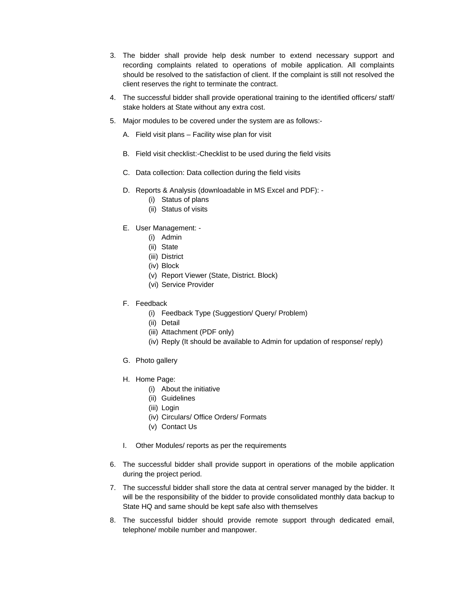- 3. The bidder shall provide help desk number to extend necessary support and recording complaints related to operations of mobile application. All complaints should be resolved to the satisfaction of client. If the complaint is still not resolved the client reserves the right to terminate the contract.
- 4. The successful bidder shall provide operational training to the identified officers/ staff/ stake holders at State without any extra cost.
- 5. Major modules to be covered under the system are as follows:-
	- A. Field visit plans Facility wise plan for visit
	- B. Field visit checklist:-Checklist to be used during the field visits
	- C. Data collection: Data collection during the field visits
	- D. Reports & Analysis (downloadable in MS Excel and PDF):
		- (i) Status of plans
		- (ii) Status of visits
	- E. User Management:
		- (i) Admin
		- (ii) State
		- (iii) District
		- (iv) Block
		- (v) Report Viewer (State, District. Block)
		- (vi) Service Provider
	- F. Feedback
		- (i) Feedback Type (Suggestion/ Query/ Problem)
		- (ii) Detail
		- (iii) Attachment (PDF only)
		- (iv) Reply (It should be available to Admin for updation of response/ reply)
	- G. Photo gallery
	- H. Home Page:
		- (i) About the initiative
		- (ii) Guidelines
		- (iii) Login
		- (iv) Circulars/ Office Orders/ Formats
		- (v) Contact Us
	- I. Other Modules/ reports as per the requirements
- 6. The successful bidder shall provide support in operations of the mobile application during the project period.
- 7. The successful bidder shall store the data at central server managed by the bidder. It will be the responsibility of the bidder to provide consolidated monthly data backup to State HQ and same should be kept safe also with themselves
- 8. The successful bidder should provide remote support through dedicated email, telephone/ mobile number and manpower.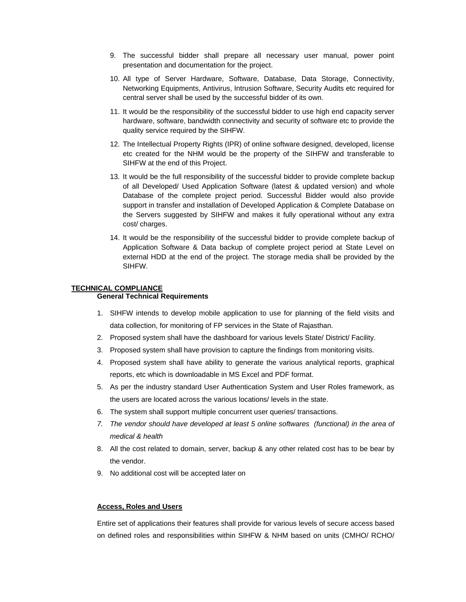- 9. The successful bidder shall prepare all necessary user manual, power point presentation and documentation for the project.
- 10. All type of Server Hardware, Software, Database, Data Storage, Connectivity, Networking Equipments, Antivirus, Intrusion Software, Security Audits etc required for central server shall be used by the successful bidder of its own.
- 11. It would be the responsibility of the successful bidder to use high end capacity server hardware, software, bandwidth connectivity and security of software etc to provide the quality service required by the SIHFW.
- 12. The Intellectual Property Rights (IPR) of online software designed, developed, license etc created for the NHM would be the property of the SIHFW and transferable to SIHFW at the end of this Project.
- 13. It would be the full responsibility of the successful bidder to provide complete backup of all Developed/ Used Application Software (latest & updated version) and whole Database of the complete project period. Successful Bidder would also provide support in transfer and installation of Developed Application & Complete Database on the Servers suggested by SIHFW and makes it fully operational without any extra cost/ charges.
- 14. It would be the responsibility of the successful bidder to provide complete backup of Application Software & Data backup of complete project period at State Level on external HDD at the end of the project. The storage media shall be provided by the SIHFW.

### **TECHNICAL COMPLIANCE**

## **General Technical Requirements**

- 1. SIHFW intends to develop mobile application to use for planning of the field visits and data collection, for monitoring of FP services in the State of Rajasthan.
- 2. Proposed system shall have the dashboard for various levels State/ District/ Facility.
- 3. Proposed system shall have provision to capture the findings from monitoring visits.
- 4. Proposed system shall have ability to generate the various analytical reports, graphical reports, etc which is downloadable in MS Excel and PDF format.
- 5. As per the industry standard User Authentication System and User Roles framework, as the users are located across the various locations/ levels in the state.
- 6. The system shall support multiple concurrent user queries/ transactions.
- *7. The vendor should have developed at least 5 online softwares (functional) in the area of medical & health*
- 8. All the cost related to domain, server, backup & any other related cost has to be bear by the vendor.
- 9. No additional cost will be accepted later on

#### **Access, Roles and Users**

Entire set of applications their features shall provide for various levels of secure access based on defined roles and responsibilities within SIHFW & NHM based on units (CMHO/ RCHO/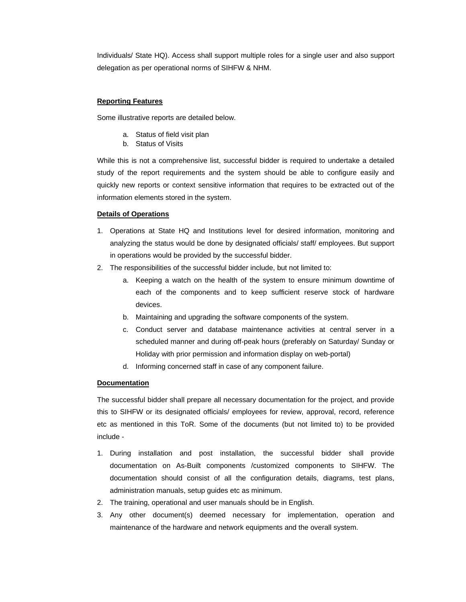Individuals/ State HQ). Access shall support multiple roles for a single user and also support delegation as per operational norms of SIHFW & NHM.

#### **Reporting Features**

Some illustrative reports are detailed below.

- a. Status of field visit plan
- b. Status of Visits

While this is not a comprehensive list, successful bidder is required to undertake a detailed study of the report requirements and the system should be able to configure easily and quickly new reports or context sensitive information that requires to be extracted out of the information elements stored in the system.

#### **Details of Operations**

- 1. Operations at State HQ and Institutions level for desired information, monitoring and analyzing the status would be done by designated officials/ staff/ employees. But support in operations would be provided by the successful bidder.
- 2. The responsibilities of the successful bidder include, but not limited to:
	- a. Keeping a watch on the health of the system to ensure minimum downtime of each of the components and to keep sufficient reserve stock of hardware devices.
	- b. Maintaining and upgrading the software components of the system.
	- c. Conduct server and database maintenance activities at central server in a scheduled manner and during off-peak hours (preferably on Saturday/ Sunday or Holiday with prior permission and information display on web-portal)
	- d. Informing concerned staff in case of any component failure.

#### **Documentation**

The successful bidder shall prepare all necessary documentation for the project, and provide this to SIHFW or its designated officials/ employees for review, approval, record, reference etc as mentioned in this ToR. Some of the documents (but not limited to) to be provided include -

- 1. During installation and post installation, the successful bidder shall provide documentation on As-Built components /customized components to SIHFW. The documentation should consist of all the configuration details, diagrams, test plans, administration manuals, setup guides etc as minimum.
- 2. The training, operational and user manuals should be in English.
- 3. Any other document(s) deemed necessary for implementation, operation and maintenance of the hardware and network equipments and the overall system.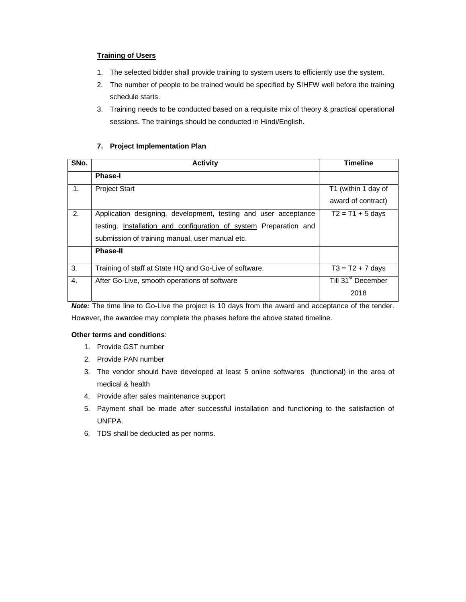## **Training of Users**

- 1. The selected bidder shall provide training to system users to efficiently use the system.
- 2. The number of people to be trained would be specified by SIHFW well before the training schedule starts.
- 3. Training needs to be conducted based on a requisite mix of theory & practical operational sessions. The trainings should be conducted in Hindi/English.

# **7. Project Implementation Plan**

| SNo. | <b>Activity</b>                                                   | <b>Timeline</b>                |  |
|------|-------------------------------------------------------------------|--------------------------------|--|
|      | <b>Phase-I</b>                                                    |                                |  |
| 1.   | <b>Project Start</b>                                              | T1 (within 1 day of            |  |
|      |                                                                   | award of contract)             |  |
| 2.   | Application designing, development, testing and user acceptance   | $T2 = T1 + 5$ days             |  |
|      | testing. Installation and configuration of system Preparation and |                                |  |
|      | submission of training manual, user manual etc.                   |                                |  |
|      | <b>Phase-II</b>                                                   |                                |  |
| 3.   | Training of staff at State HQ and Go-Live of software.            | $T3 = T2 + 7$ days             |  |
| 4.   | After Go-Live, smooth operations of software                      | Till 31 <sup>st</sup> December |  |
|      | $\sim$<br>______<br>.                                             | 2018                           |  |

*Note:* The time line to Go-Live the project is 10 days from the award and acceptance of the tender. However, the awardee may complete the phases before the above stated timeline.

### **Other terms and conditions**:

- 1. Provide GST number
- 2. Provide PAN number
- 3. The vendor should have developed at least 5 online softwares (functional) in the area of medical & health
- 4. Provide after sales maintenance support
- 5. Payment shall be made after successful installation and functioning to the satisfaction of UNFPA.
- 6. TDS shall be deducted as per norms.